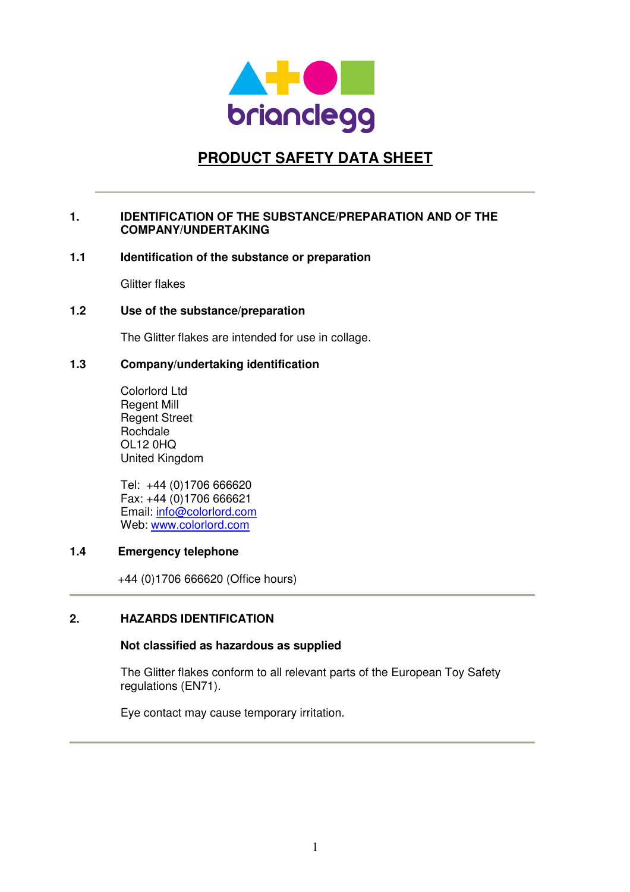

# **PRODUCT SAFETY DATA SHEET**

## **1. IDENTIFICATION OF THE SUBSTANCE/PREPARATION AND OF THE COMPANY/UNDERTAKING**

## **1.1 Identification of the substance or preparation**

Glitter flakes

## **1.2 Use of the substance/preparation**

The Glitter flakes are intended for use in collage.

## **1.3 Company/undertaking identification**

Colorlord Ltd Regent Mill Regent Street Rochdale OL12 0HQ United Kingdom

Tel: +44 (0)1706 666620 Fax: +44 (0)1706 666621 Email: info@colorlord.com Web: www.colorlord.com

## **1.4 Emergency telephone**

+44 (0)1706 666620 (Office hours)

## **2. HAZARDS IDENTIFICATION**

## **Not classified as hazardous as supplied**

The Glitter flakes conform to all relevant parts of the European Toy Safety regulations (EN71).

Eye contact may cause temporary irritation.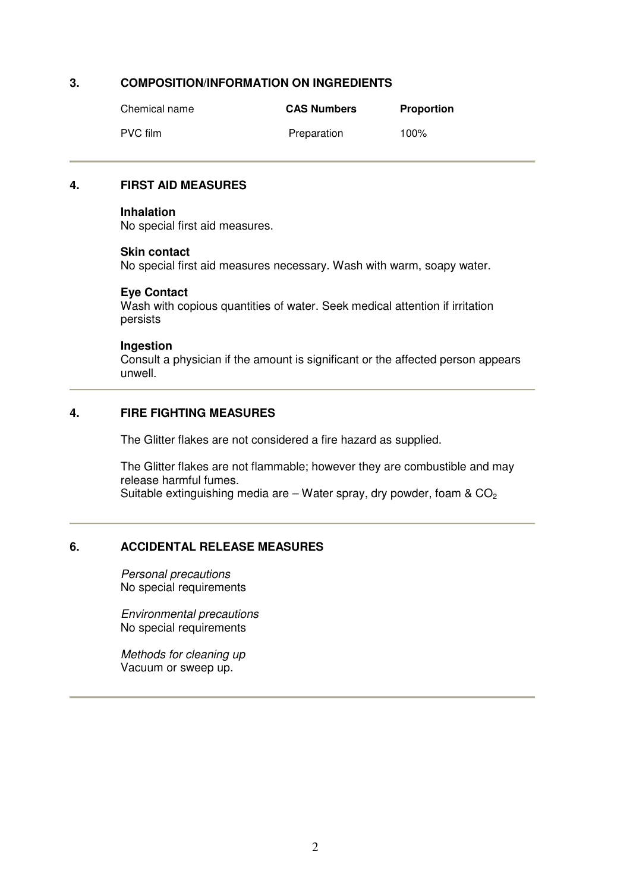## **3. COMPOSITION/INFORMATION ON INGREDIENTS**

| Chemical name | <b>CAS Numbers</b> | <b>Proportion</b> |
|---------------|--------------------|-------------------|
| PVC film      | Preparation        | 100%              |

#### **4. FIRST AID MEASURES**

#### **Inhalation**

No special first aid measures.

#### **Skin contact**

No special first aid measures necessary. Wash with warm, soapy water.

#### **Eye Contact**

Wash with copious quantities of water. Seek medical attention if irritation persists

#### **Ingestion**

Consult a physician if the amount is significant or the affected person appears unwell.

# **4. FIRE FIGHTING MEASURES**

The Glitter flakes are not considered a fire hazard as supplied.

The Glitter flakes are not flammable; however they are combustible and may release harmful fumes. Suitable extinguishing media are – Water spray, dry powder, foam  $& CO<sub>2</sub>$ 

## **6. ACCIDENTAL RELEASE MEASURES**

Personal precautions No special requirements

Environmental precautions No special requirements

Methods for cleaning up Vacuum or sweep up.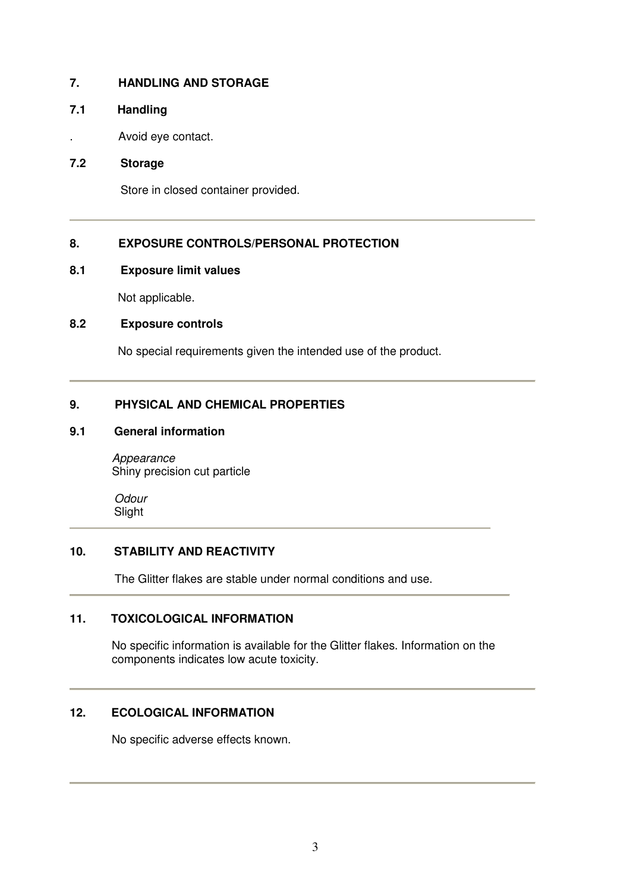# **7. HANDLING AND STORAGE**

## **7.1 Handling**

. Avoid eye contact.

# **7.2 Storage**

Store in closed container provided.

# **8. EXPOSURE CONTROLS/PERSONAL PROTECTION**

## **8.1 Exposure limit values**

Not applicable.

## **8.2 Exposure controls**

No special requirements given the intended use of the product.

# **9. PHYSICAL AND CHEMICAL PROPERTIES**

## **9.1 General information**

Appearance Shiny precision cut particle

**Odour** Slight

# **10. STABILITY AND REACTIVITY**

The Glitter flakes are stable under normal conditions and use.

## **11. TOXICOLOGICAL INFORMATION**

No specific information is available for the Glitter flakes. Information on the components indicates low acute toxicity.

## **12. ECOLOGICAL INFORMATION**

No specific adverse effects known.